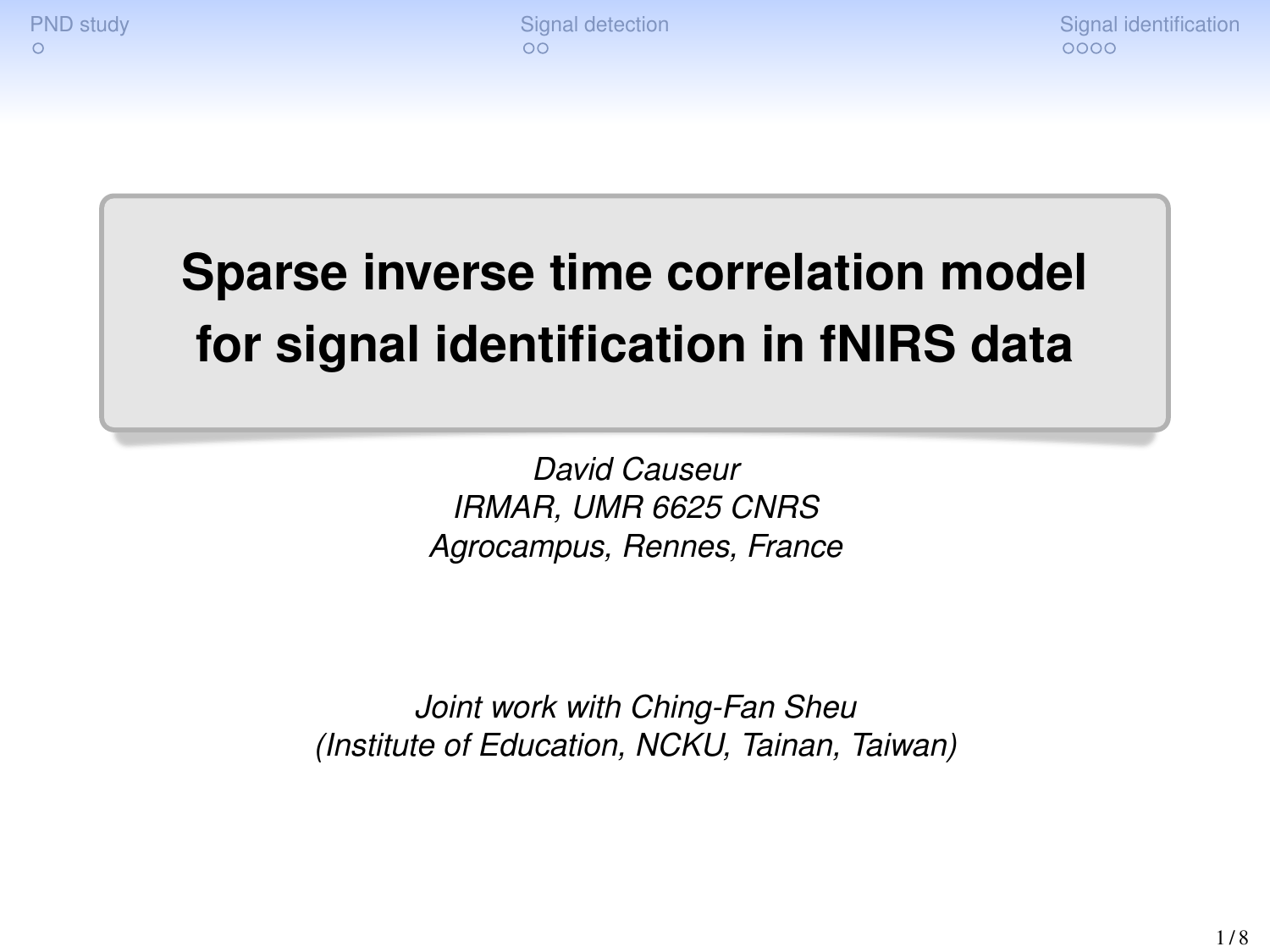[PND study](#page-1-0) Signal identification [Signal detection](#page-7-0) [Signal identification](#page-13-0) Signal identification  $0000$ 

# **Sparse inverse time correlation model for signal identification in fNIRS data**

*David Causeur IRMAR, UMR 6625 CNRS Agrocampus, Rennes, France*

*Joint work with Ching-Fan Sheu (Institute of Education, NCKU, Tainan, Taiwan)*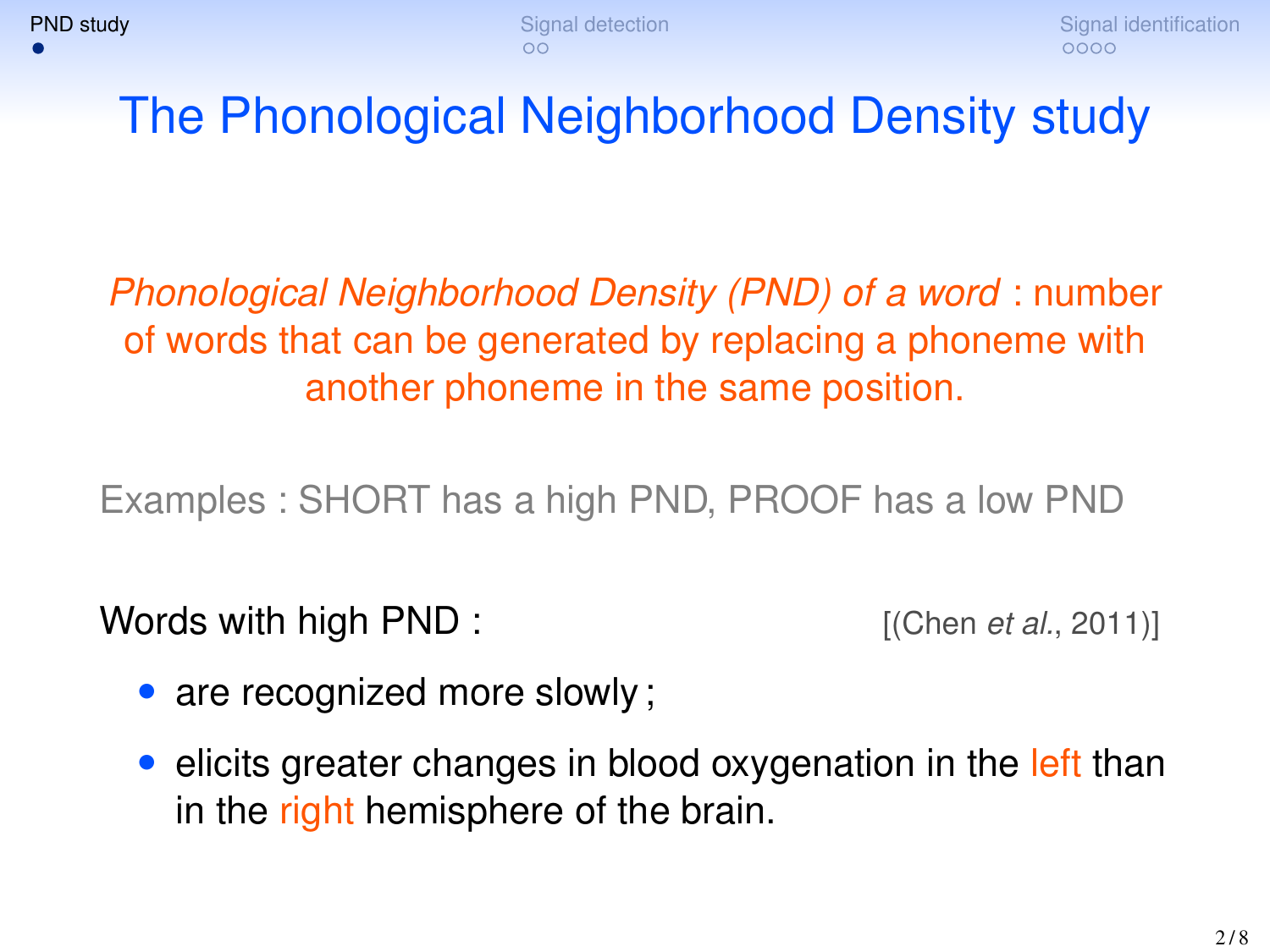<span id="page-1-0"></span>*Phonological Neighborhood Density (PND) of a word* : number of words that can be generated by replacing a phoneme with another phoneme in the same position.

Examples : SHORT has a high PND, PROOF has a low PND

Words with high PND :  $[(\text{Chen et al., 2011})]$ 

- are recognized more slowly;
- elicits greater changes in blood oxygenation in the left than in the right hemisphere of the brain.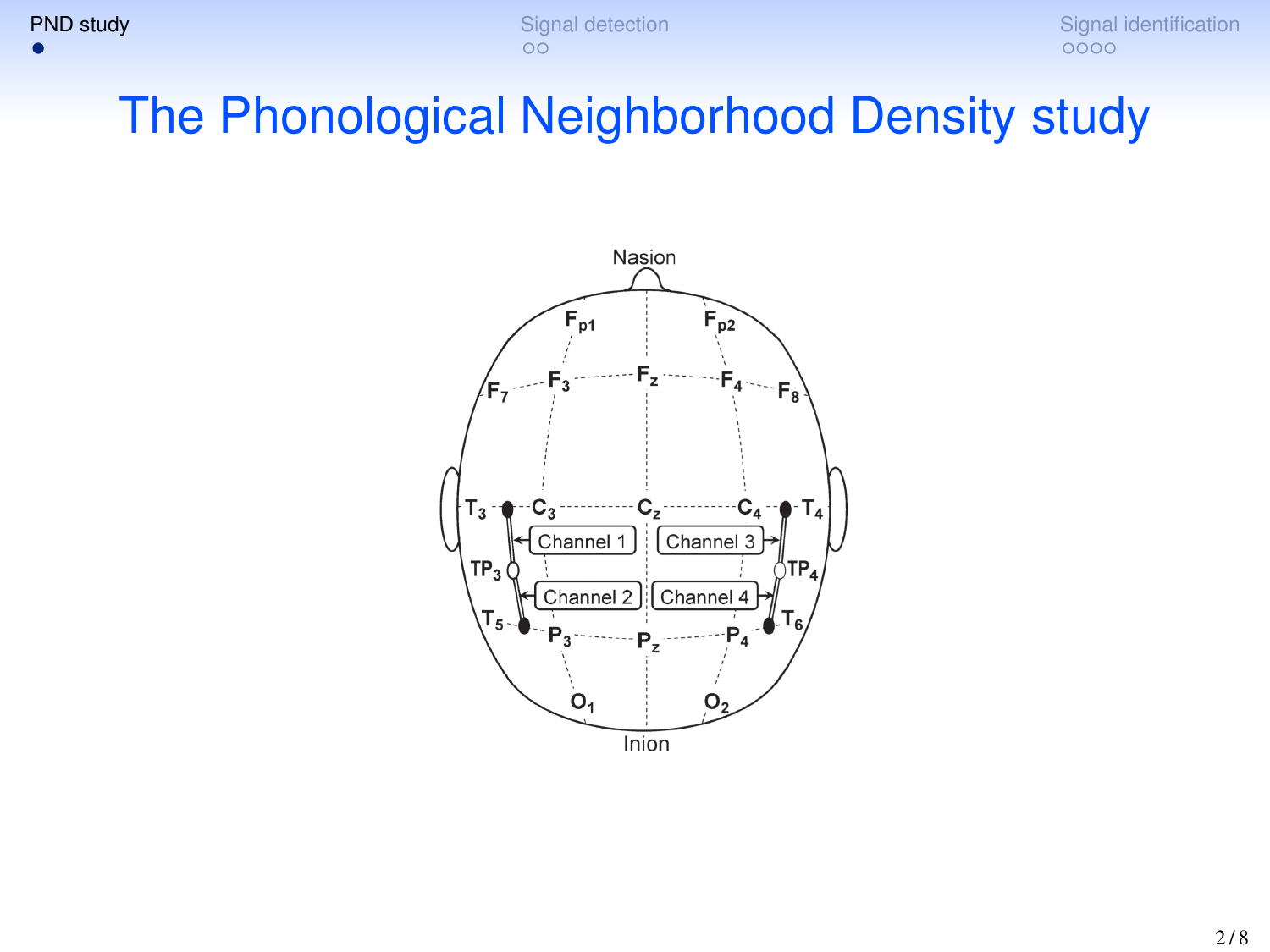**[PND study](#page-1-0)** [Signal detection](#page-7-0) Signal detection [Signal identification](#page-13-0) Signal identification Signal identification

## The Phonological Neighborhood Density study

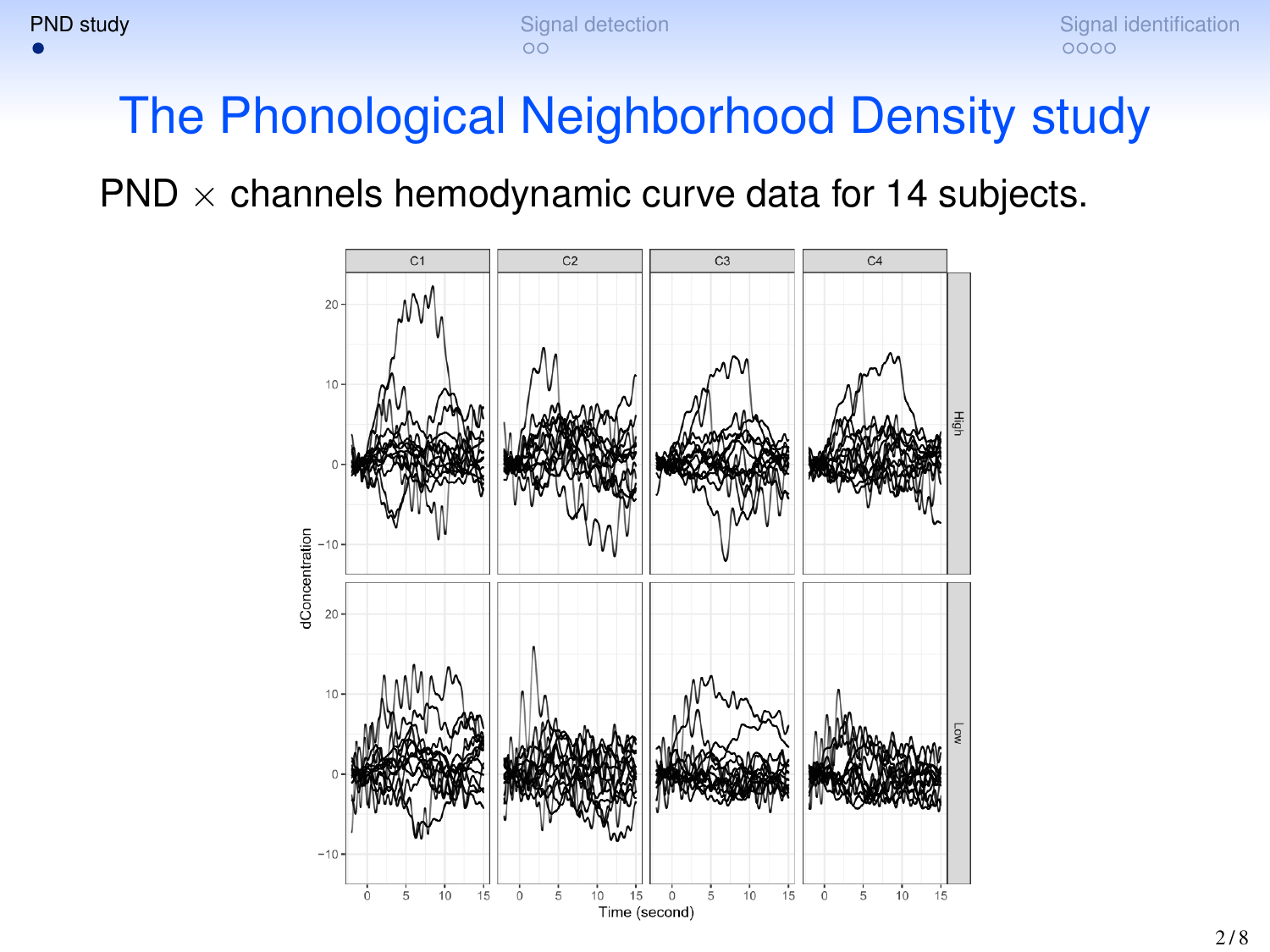PND  $\times$  channels hemodynamic curve data for 14 subjects.

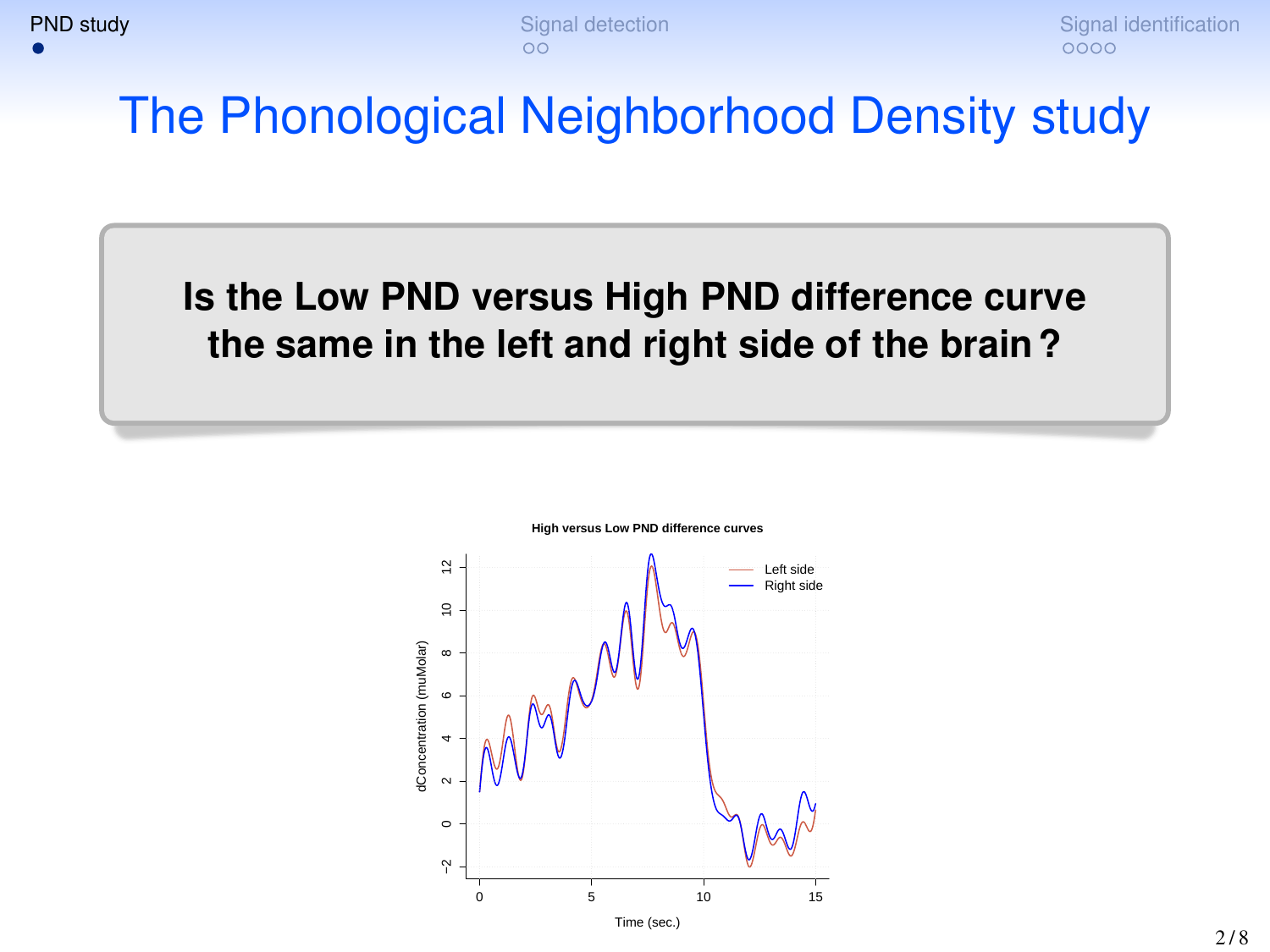### **Is the Low PND versus High PND difference curve the same in the left and right side of the brain ?**

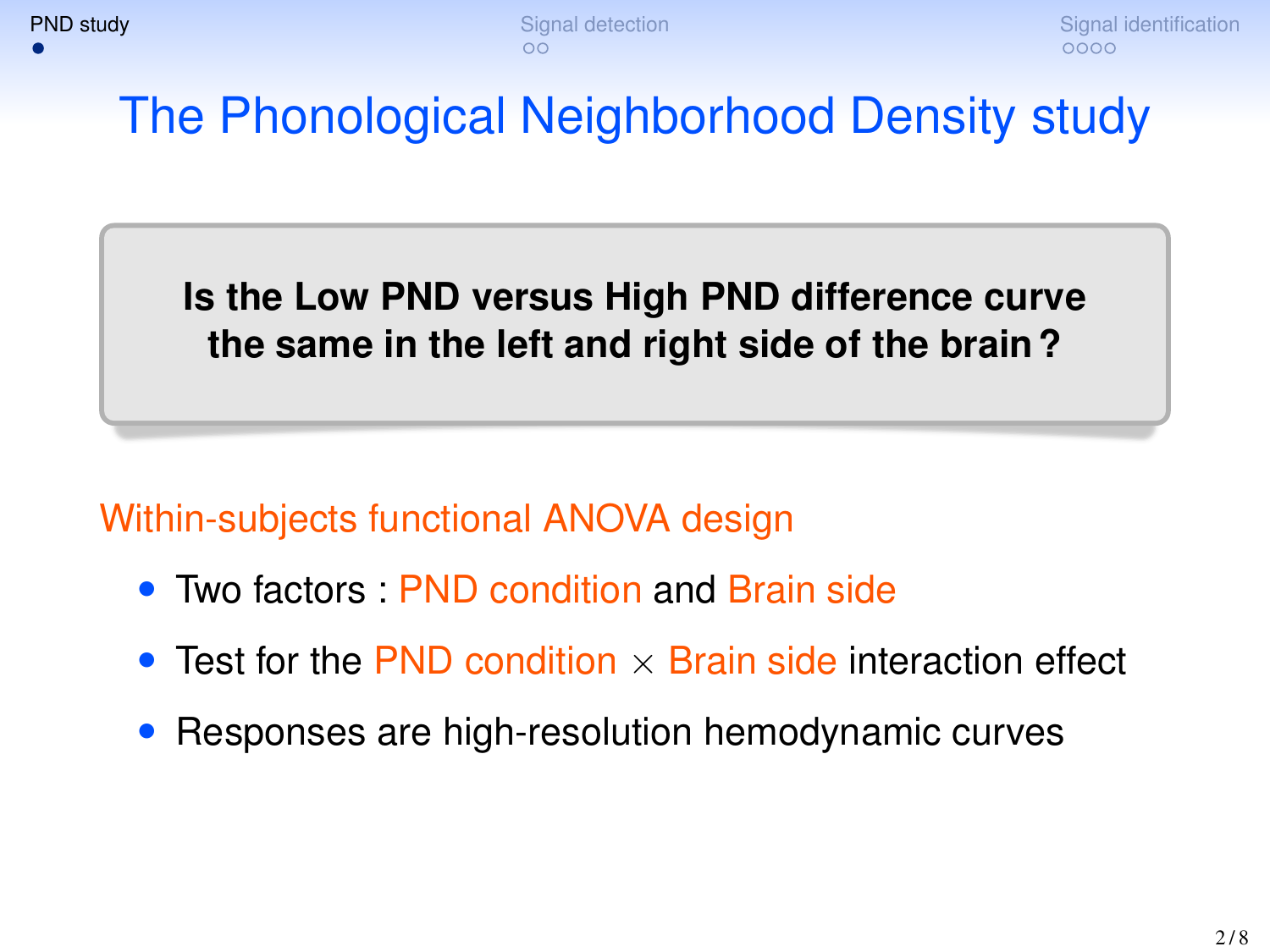**Is the Low PND versus High PND difference curve the same in the left and right side of the brain ?**

### Within-subjects functional ANOVA design

- Two factors : PND condition and Brain side
- Test for the PND condition  $\times$  Brain side interaction effect
- Responses are high-resolution hemodynamic curves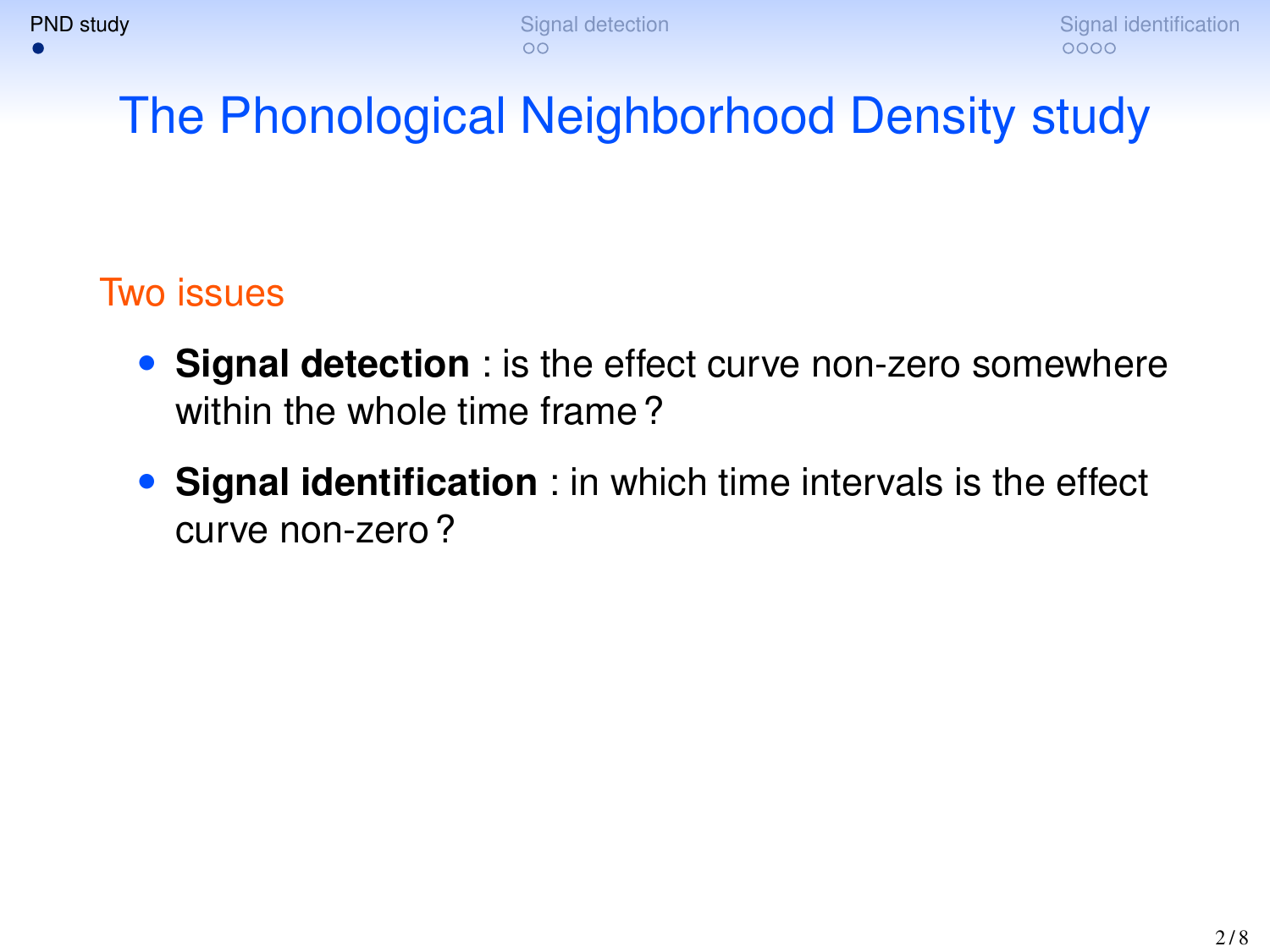### Two issues

- **Signal detection** : is the effect curve non-zero somewhere within the whole time frame ?
- **Signal identification** : in which time intervals is the effect curve non-zero ?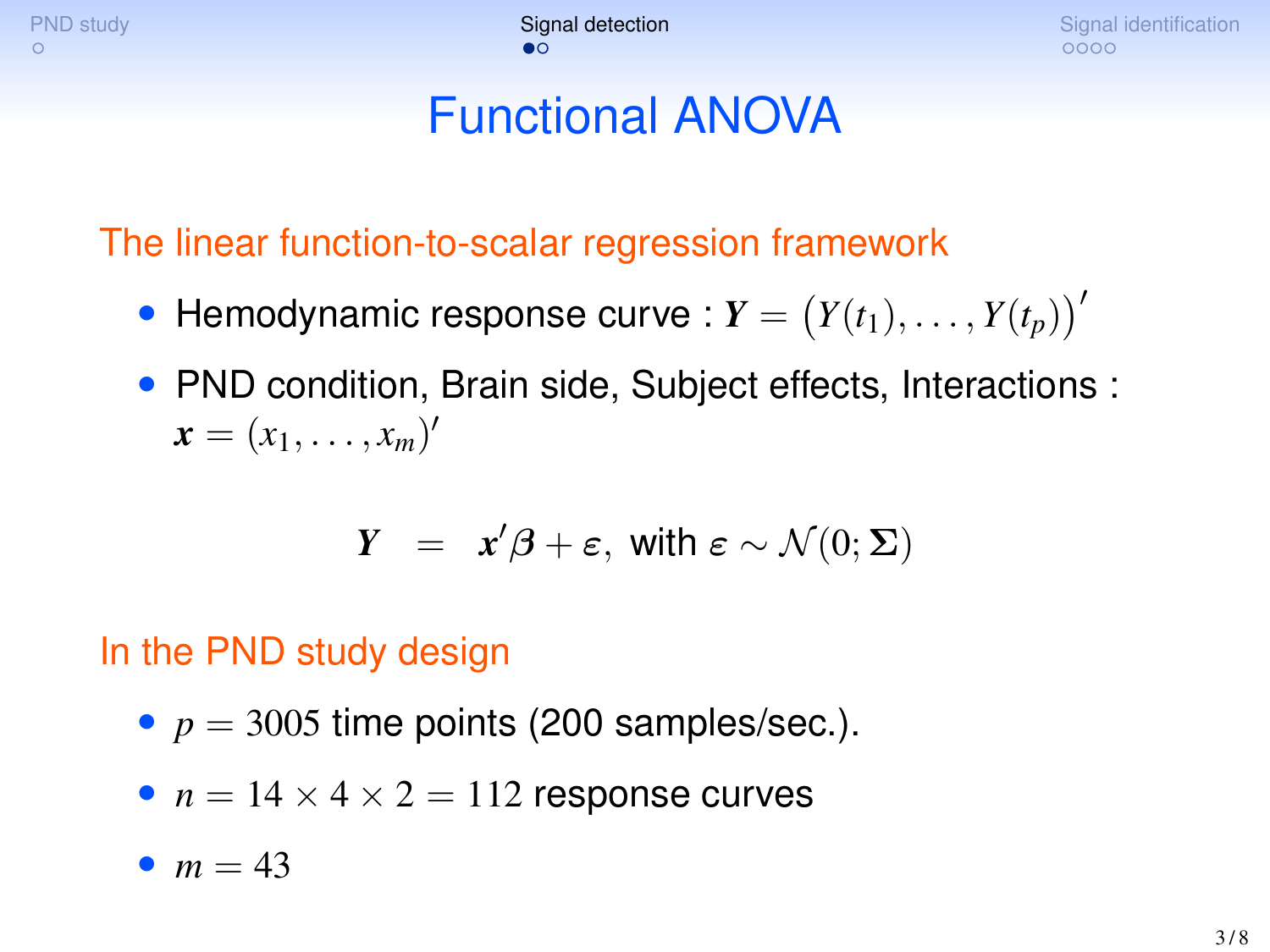<span id="page-7-0"></span>[PND study](#page-1-0) [Signal identification](#page-13-0) Signal identification Signal identification Signal identification  $0000$ 

## Functional ANOVA

The linear function-to-scalar regression framework

- $\bullet$  Hemodynamic response curve :  $\boldsymbol{Y}=\big(Y(t_1),\ldots,Y(t_p)\big)'$
- PND condition, Brain side, Subject effects, Interactions :  $\bm{x} = (x_1, \ldots, x_m)'$

$$
Y \;\; = \;\; x' \beta + \varepsilon, \text{ with } \varepsilon \sim \mathcal{N}(0; \Sigma)
$$

### In the PND study design

- $p = 3005$  time points (200 samples/sec.).
- $n = 14 \times 4 \times 2 = 112$  response curves

$$
m=43
$$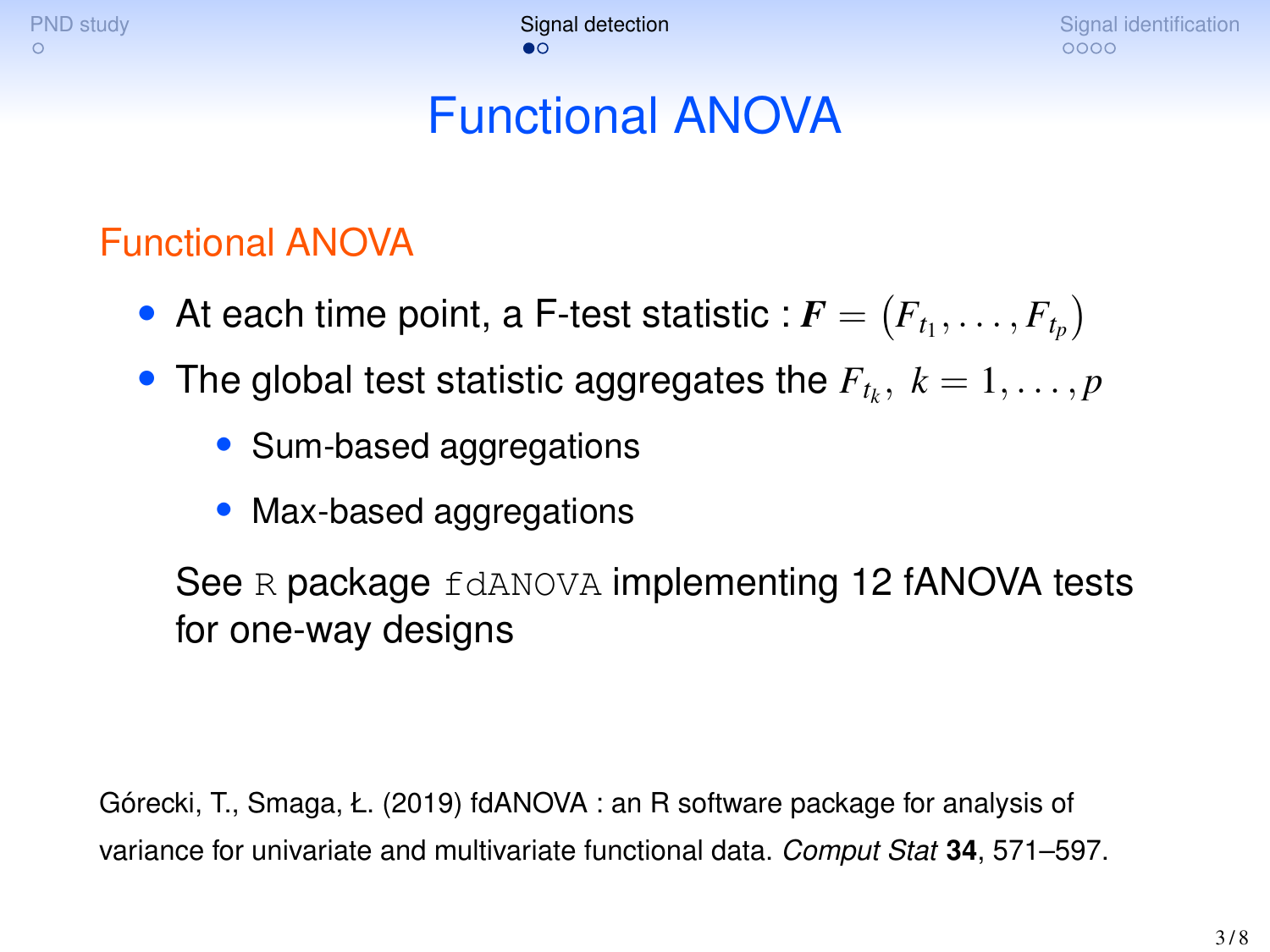[PND study](#page-1-0) [Signal identification](#page-13-0) Signal identification Signal identification Signal identification  $0000$ 

## Functional ANOVA

### Functional ANOVA

- $\bullet$  At each time point, a F-test statistic :  $\boldsymbol{F} = \left(F_{t_1}, \ldots, F_{t_p}\right)$
- The global test statistic aggregates the  $F_{t_k}, k = 1, \ldots, p$ 
	- Sum-based aggregations
	- Max-based aggregations

See R package fdANOVA implementing 12 fANOVA tests for one-way designs

Górecki, T., Smaga, Ł. (2019) fdANOVA : an R software package for analysis of variance for univariate and multivariate functional data. *Comput Stat* **34**, 571–597.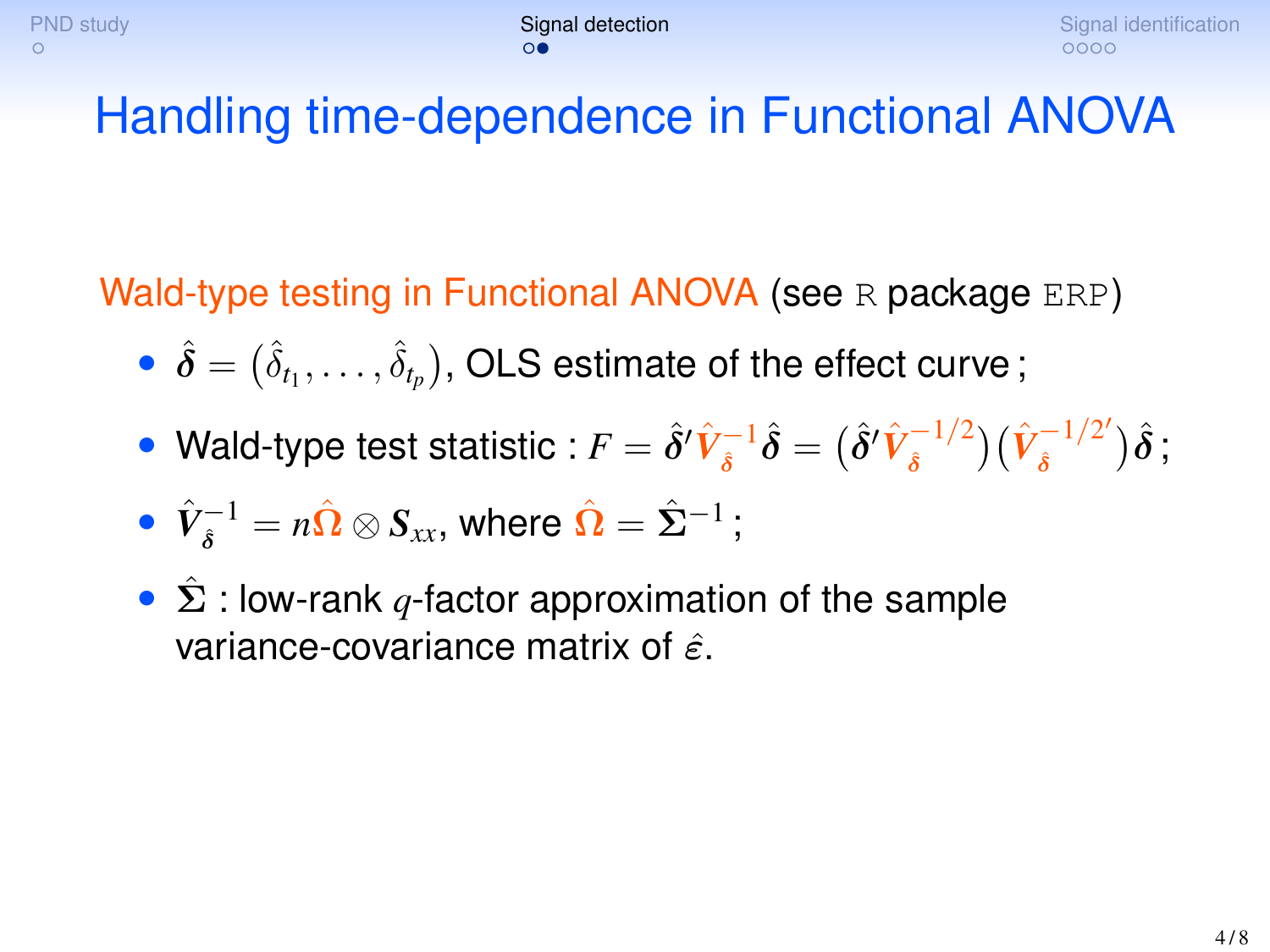Wald-type testing in Functional ANOVA (see R package ERP)

- $\hat{\bm{\delta}} = \big(\hat{\delta}_{t_1}, \ldots, \hat{\delta}_{t_p}\big),$  OLS estimate of the effect curve ;
- Wald-type test statistic :  $F=\hat{\delta}'\hat{V}_{\hat{\delta}}^{-1}\hat{\delta}=\big(\hat{\delta}'\hat{V}_{\hat{\delta}}^{-1/2}\big)\big(\hat{V}_{\hat{\delta}}^{-1/2'}$  $\hat{\delta}^{-1/2'}\big)\hat{\boldsymbol{\delta}}$  ;
- $\hat{\mathbf{V}}_{\hat{\boldsymbol{\delta}}}^{-1} = n\hat{\boldsymbol{\Omega}} \otimes \mathbf{S}_{\boldsymbol{\mathcal{X}}\boldsymbol{\mathcal{X}}}, \text{ where } \hat{\boldsymbol{\Omega}} = \hat{\boldsymbol{\Sigma}}^{-1}$ ;
- $\hat{\Sigma}$  : low-rank *q*-factor approximation of the sample variance-covariance matrix of  $\hat{\epsilon}$ .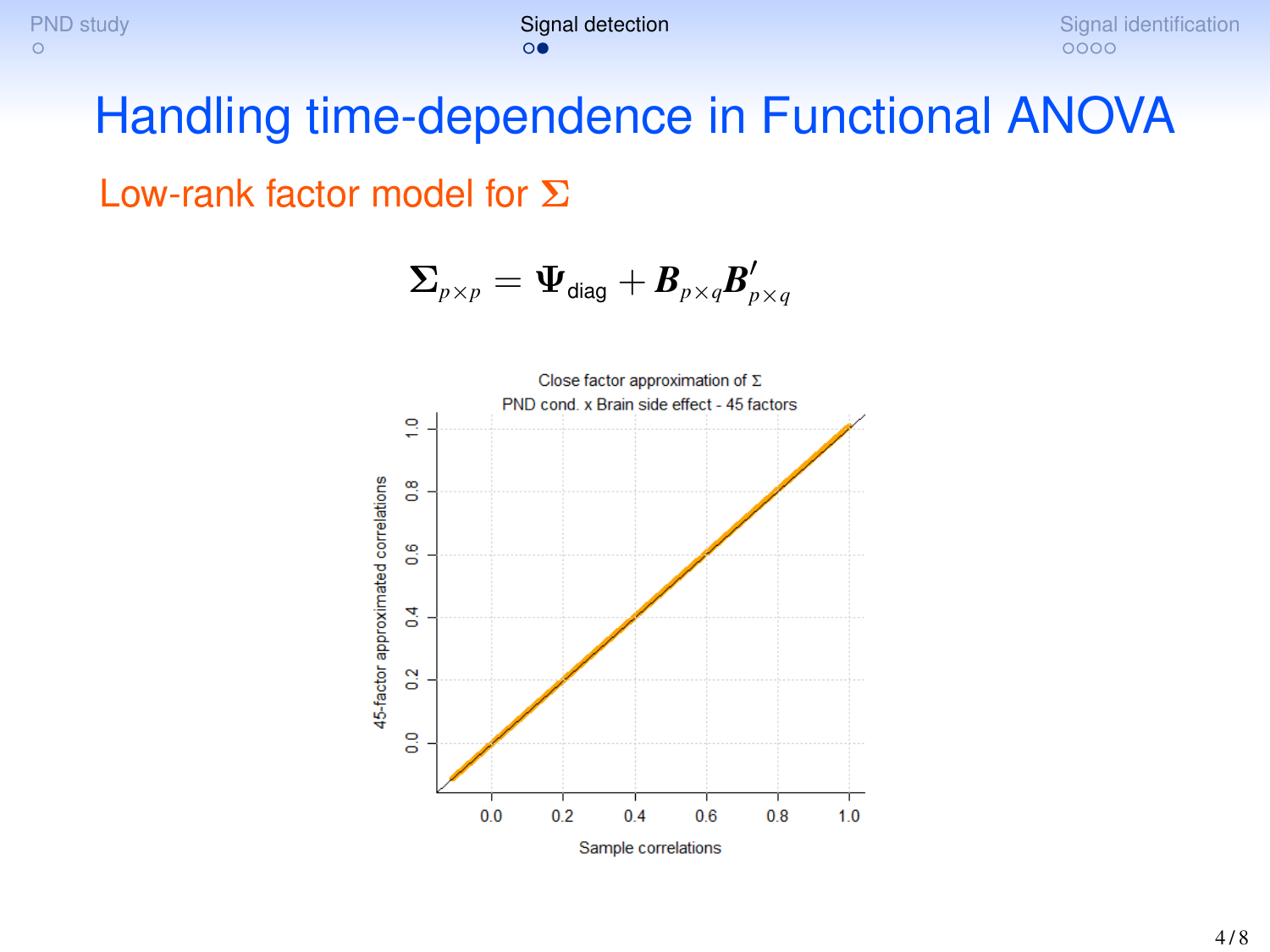Low-rank factor model for Σ

$$
\boldsymbol{\Sigma}_{\scriptscriptstyle{p\times p}} = \boldsymbol{\Psi}_{\textsf{\small diag}} + \boldsymbol{B}_{\scriptscriptstyle{p\times q}} \boldsymbol{B}_{\scriptscriptstyle{p\times q}}^{\prime}
$$

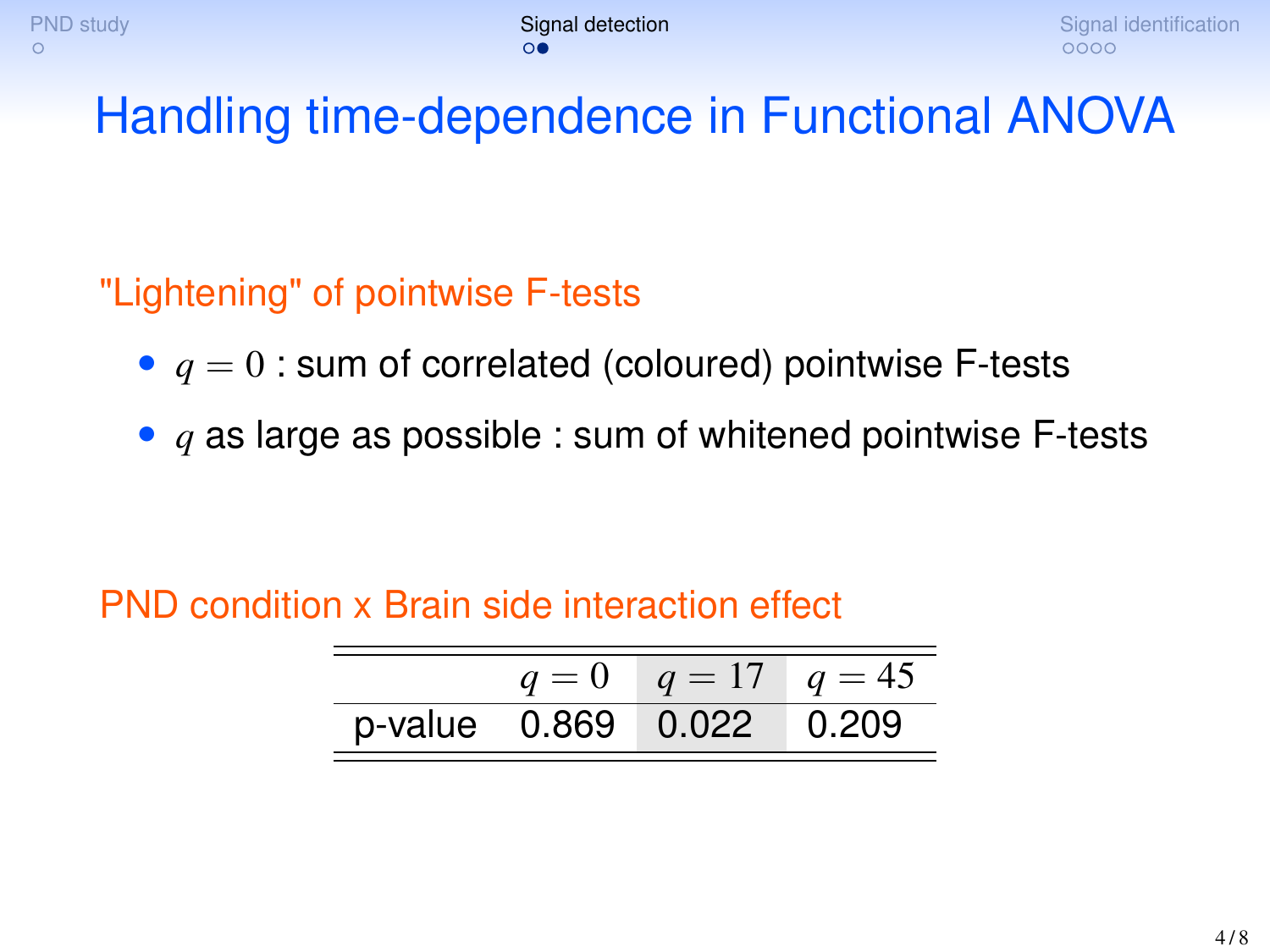### "Lightening" of pointwise F-tests

- $\bullet$   $q = 0$ : sum of correlated (coloured) pointwise F-tests
- *q* as large as possible : sum of whitened pointwise F-tests

#### PND condition x Brain side interaction effect

|  | $q = 0$ $q = 17$ $q = 45$ |  |
|--|---------------------------|--|
|  | p-value 0.869 0.022 0.209 |  |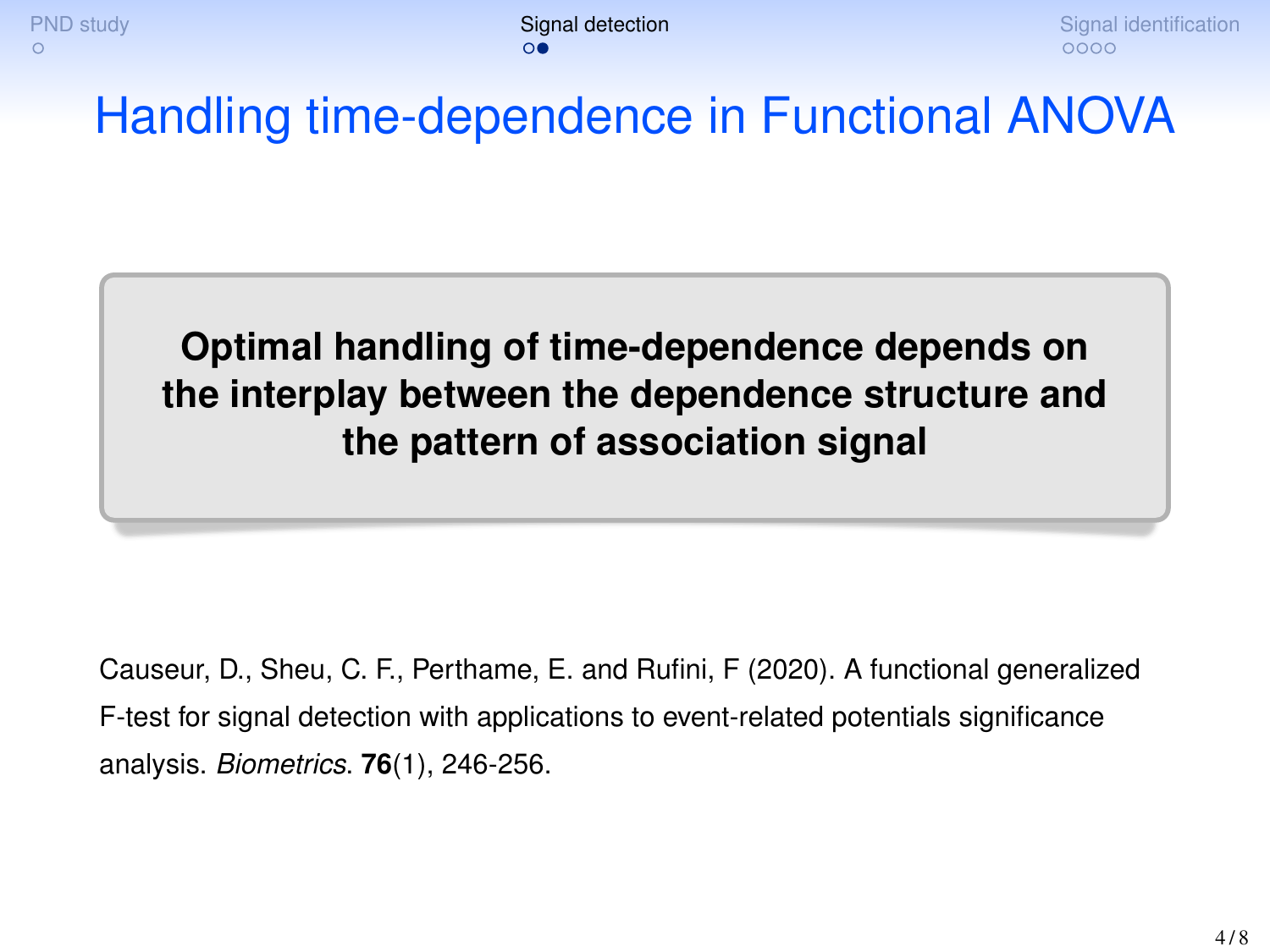**Optimal handling of time-dependence depends on the interplay between the dependence structure and the pattern of association signal**

Causeur, D., Sheu, C. F., Perthame, E. and Rufini, F (2020). A functional generalized F-test for signal detection with applications to event-related potentials significance analysis. *Biometrics*. **76**(1), 246-256.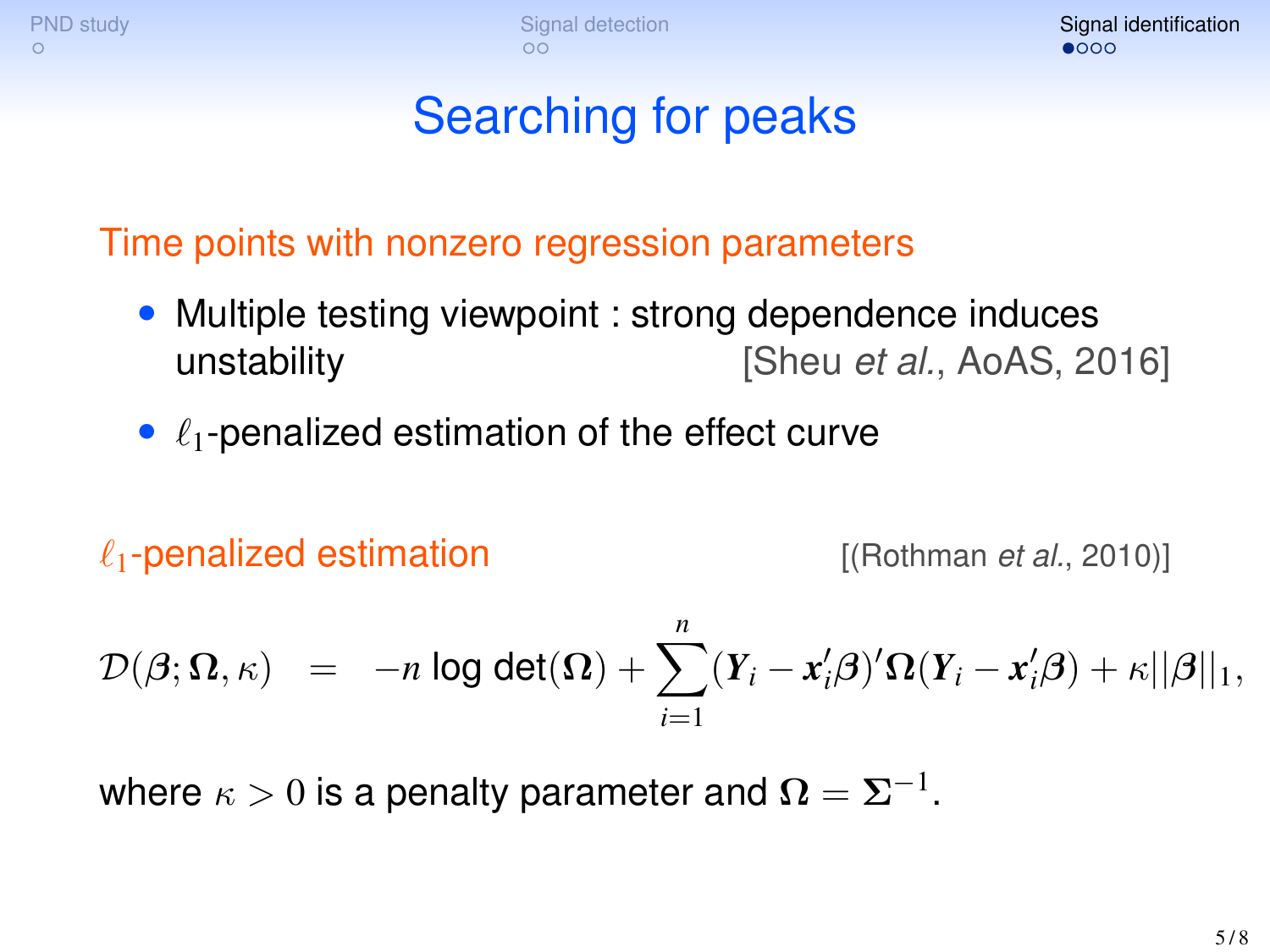<span id="page-13-0"></span>[PND study](#page-1-0) Signal identification [Signal detection](#page-7-0) [Signal identification](#page-13-0) Signal identification  $\bullet$ 000

## Searching for peaks

Time points with nonzero regression parameters

- Multiple testing viewpoint : strong dependence induces unstability [Sheu *et al.*, AoAS, 2016]
- $\ell_1$ -penalized estimation of the effect curve

 $\ell_1$ -**penalized estimation** [(Rothman *et al.*, 2010)]

$$
\mathcal{D}(\boldsymbol{\beta};\boldsymbol{\Omega},\kappa) \;\; = \;\; -n\; \text{log det}(\boldsymbol{\Omega}) + \sum_{i=1}^n (Y_i - x_i'\boldsymbol{\beta})'\boldsymbol{\Omega}(Y_i - x_i'\boldsymbol{\beta}) + \kappa||\boldsymbol{\beta}||_1,
$$

where  $\kappa>0$  is a penalty parameter and  $\boldsymbol{\Omega}=\boldsymbol{\Sigma}^{-1}.$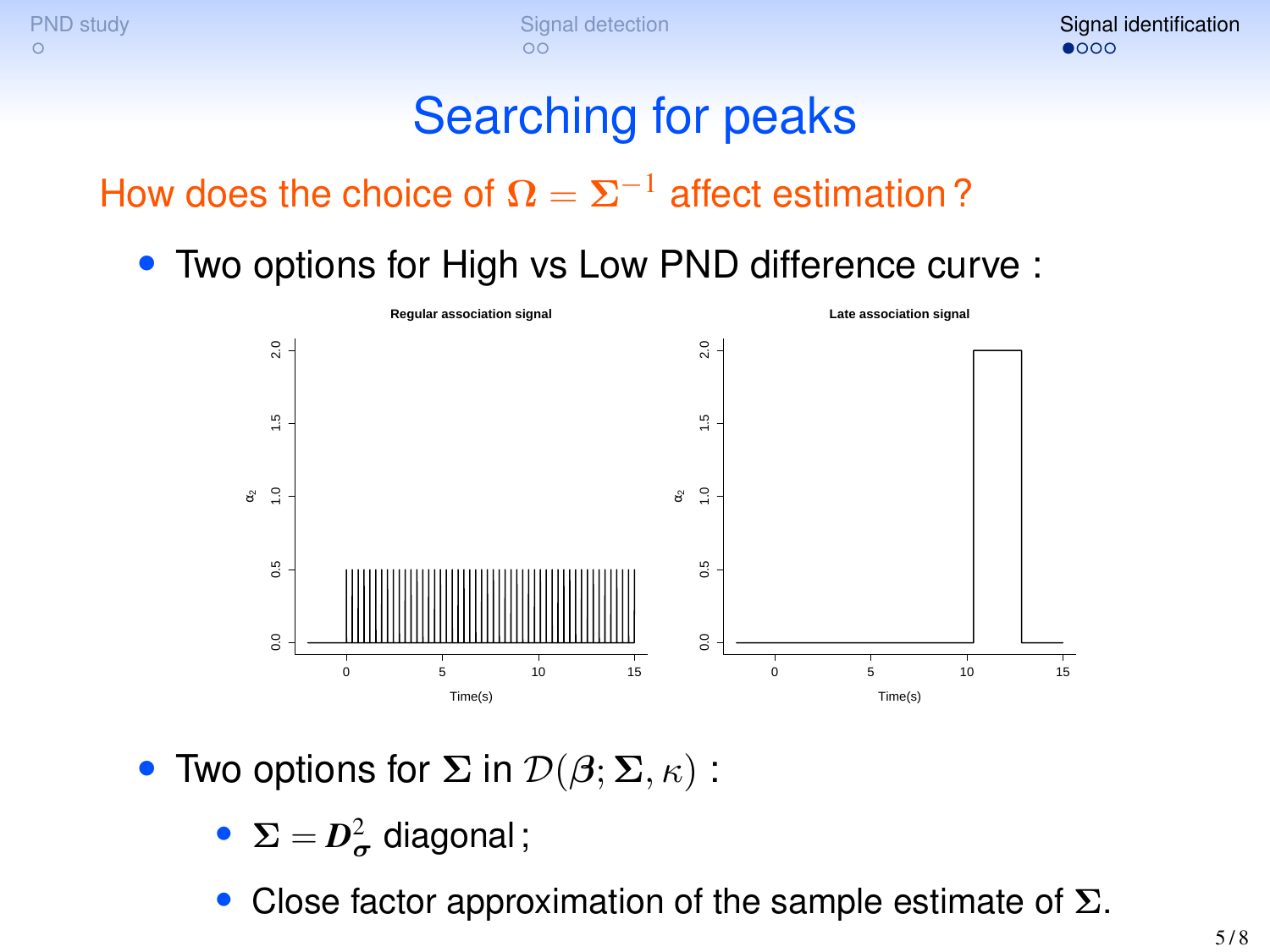[PND study](#page-1-0) Signal identification [Signal detection](#page-7-0) [Signal identification](#page-13-0) Signal identification  $\bullet$ 000

## Searching for peaks

### How does the choice of  $\Omega = \Sigma^{-1}$  affect estimation?

• Two options for High vs Low PND difference curve :



- Two options for  $\Sigma$  in  $\mathcal{D}(\beta;\Sigma,\kappa)$ :
	- $\Sigma = D^2_{\sigma}$  diagonal ;
	- Close factor approximation of the sample estimate of  $\Sigma$ .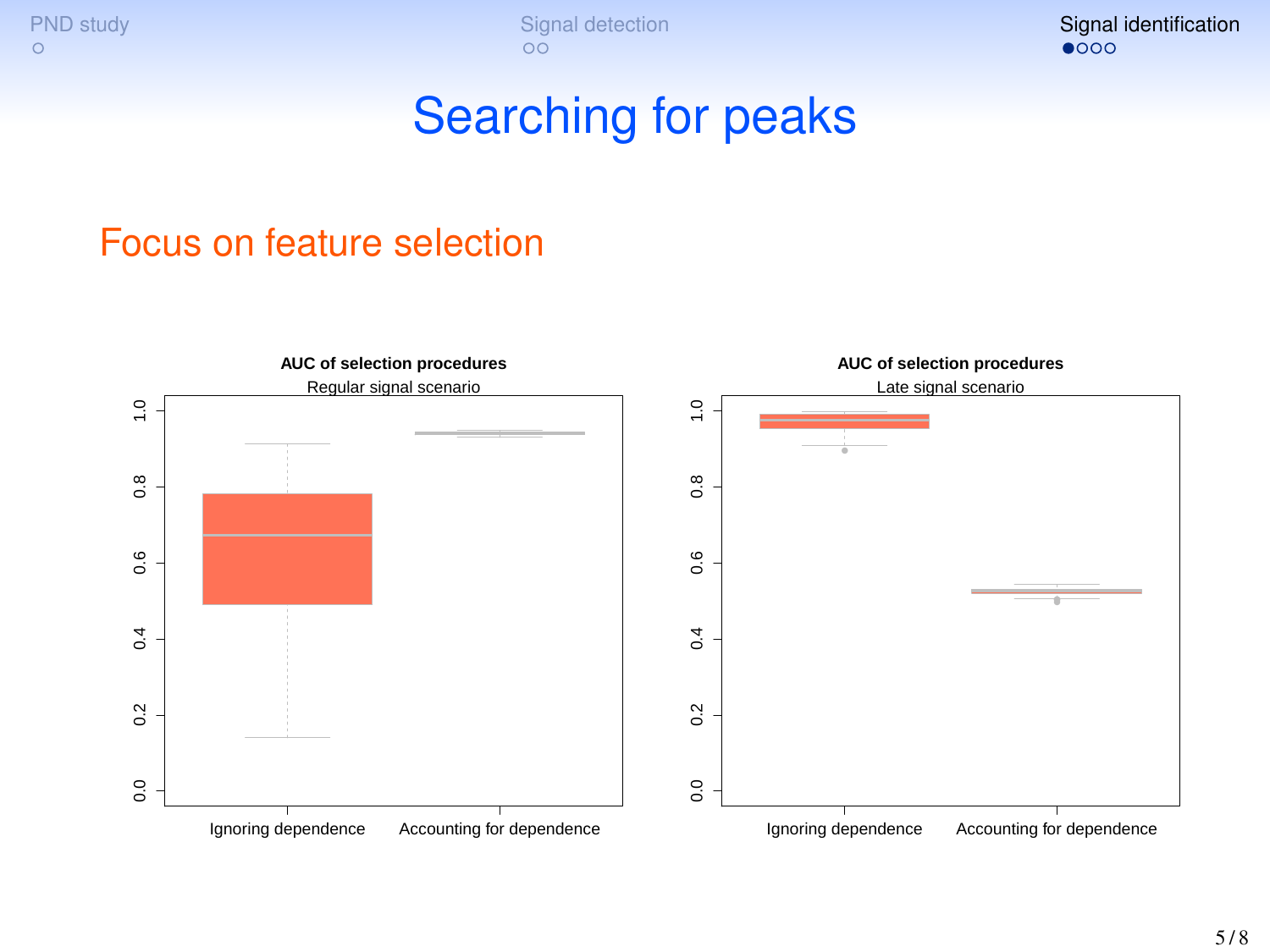[PND study](#page-1-0) [Signal detection](#page-7-0) Signal detection [Signal identification](#page-13-0) Signal identification Signal identification

## Searching for peaks

#### Focus on feature selection

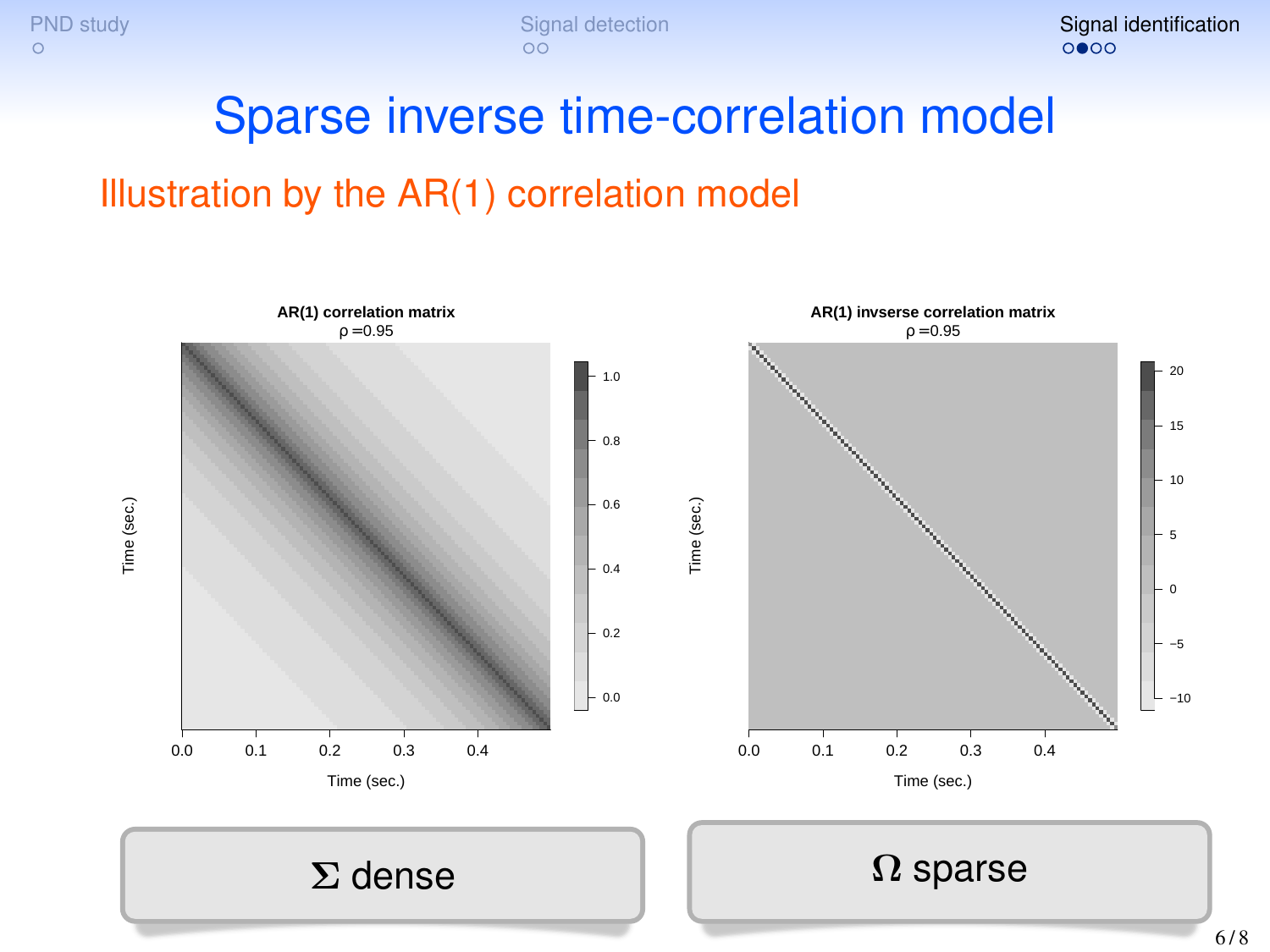[PND study](#page-1-0) [Signal detection](#page-7-0) Signal detection [Signal identification](#page-13-0) Signal identification Signal identification  $\circ$ 

### Sparse inverse time-correlation model

#### Illustration by the AR(1) correlation model



6 / 8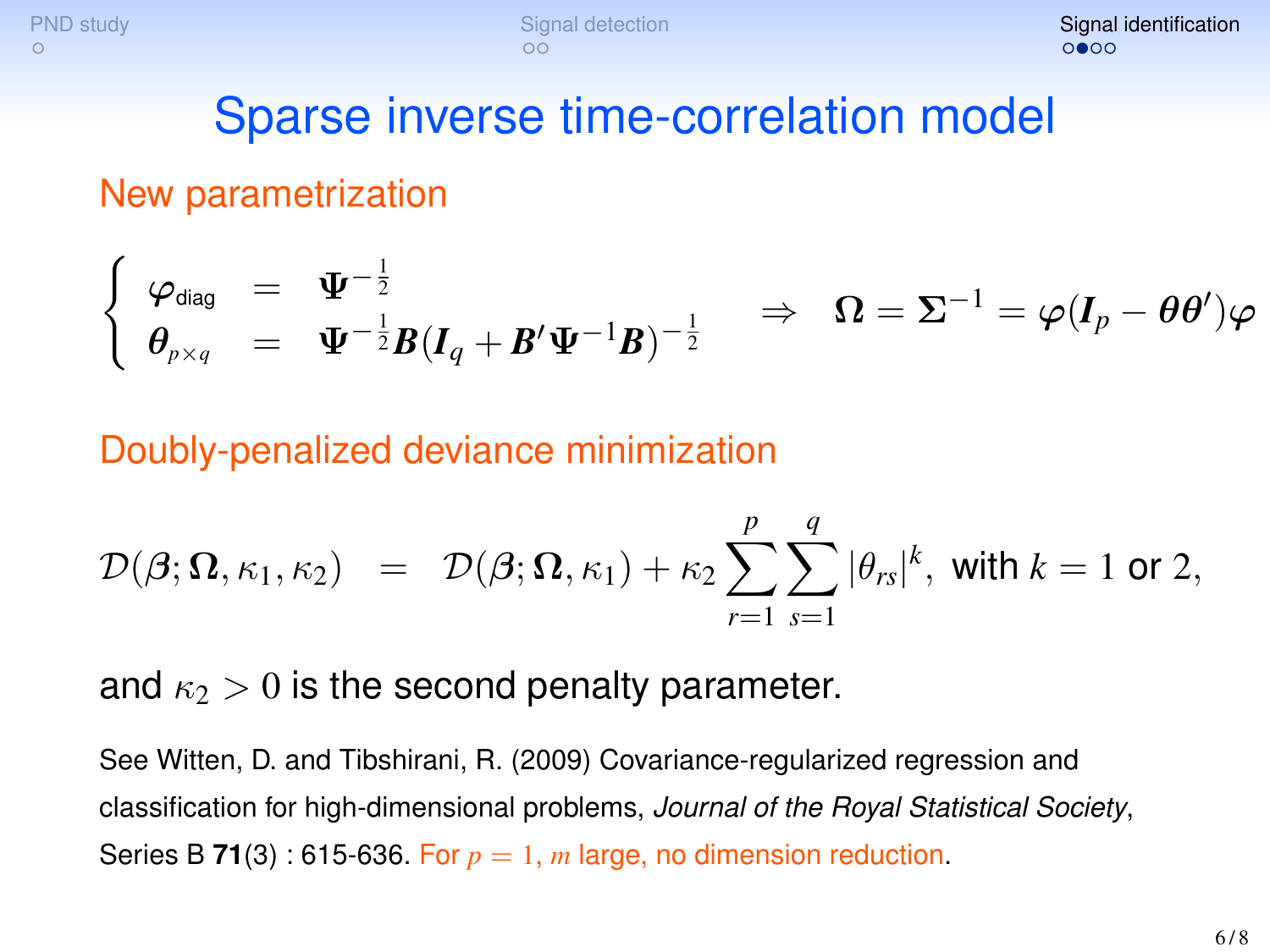## Sparse inverse time-correlation model

### New parametrization

$$
\left\{ \begin{array}{lcl} \displaystyle \varphi_{\text{diag}} & = & \displaystyle \mathbf{\Psi}^{-\frac{1}{2}} \\ \displaystyle \theta_{_{p\times q}} & = & \displaystyle \mathbf{\Psi}^{-\frac{1}{2}}\boldsymbol{B}(\boldsymbol{I}_{q}+\boldsymbol{B}'\boldsymbol{\Psi}^{-1}\boldsymbol{B})^{-\frac{1}{2}} \end{array} \right. \Rightarrow \quad \Omega=\boldsymbol{\Sigma}^{-1}=\varphi(\boldsymbol{I}_{p}-\theta\boldsymbol{\theta}')\varphi
$$

### Doubly-penalized deviance minimization

$$
\mathcal{D}(\boldsymbol{\beta};\boldsymbol{\Omega},\kappa_1,\kappa_2) = \mathcal{D}(\boldsymbol{\beta};\boldsymbol{\Omega},\kappa_1) + \kappa_2 \sum_{r=1}^p \sum_{s=1}^q |\theta_{rs}|^k, \text{ with } k=1 \text{ or } 2,
$$

and  $\kappa_2 > 0$  is the second penalty parameter.

See Witten, D. and Tibshirani, R. (2009) Covariance-regularized regression and classification for high-dimensional problems, *Journal of the Royal Statistical Society*, Series B **71**(3) : 615-636. For  $p = 1$ , *m* large, no dimension reduction.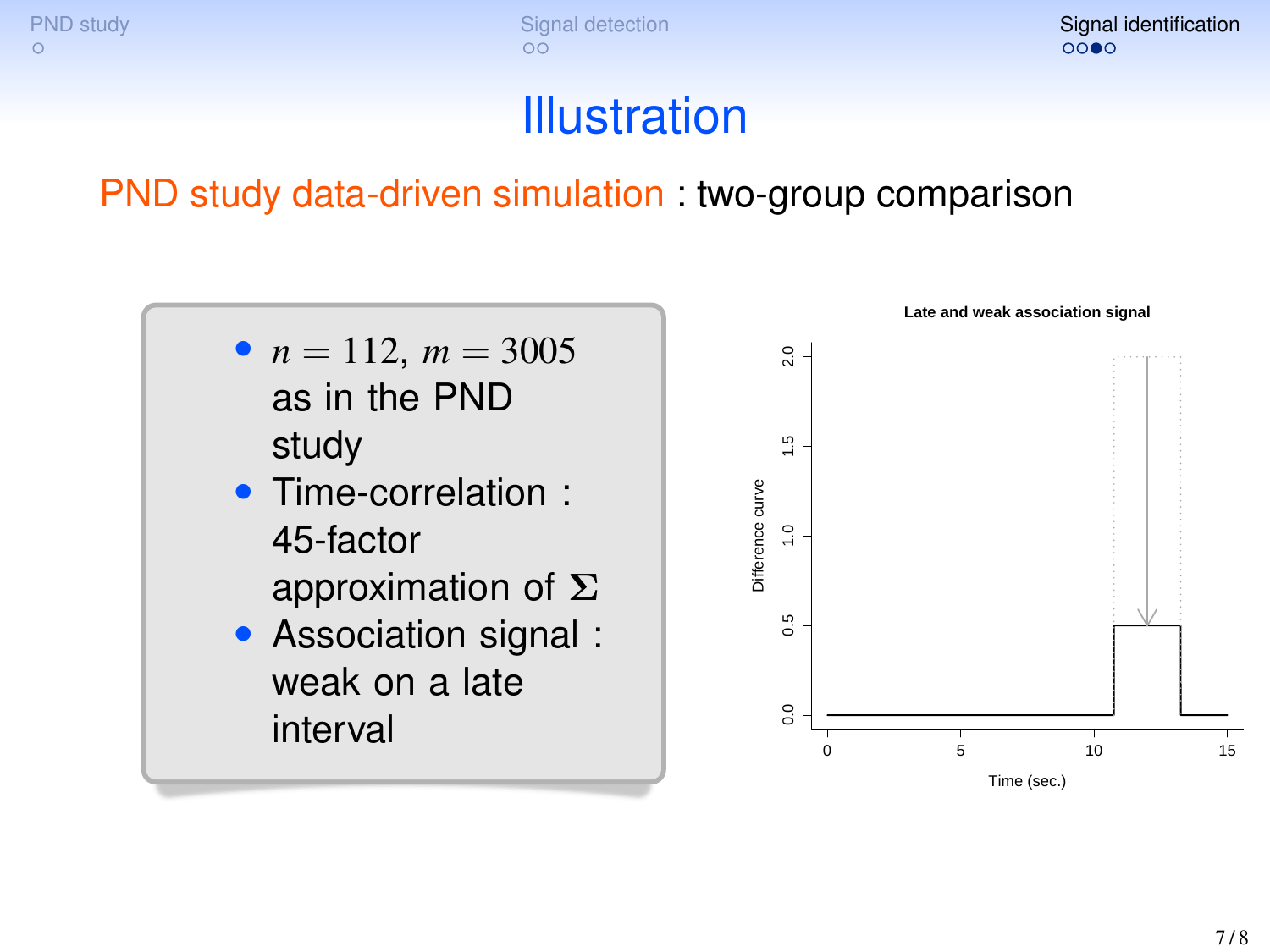[PND study](#page-1-0) [Signal detection](#page-7-0) Signal detection [Signal identification](#page-13-0) Signal identification Signal identification

## **Illustration**

PND study data-driven simulation : two-group comparison



• Association signal : weak on a late interval

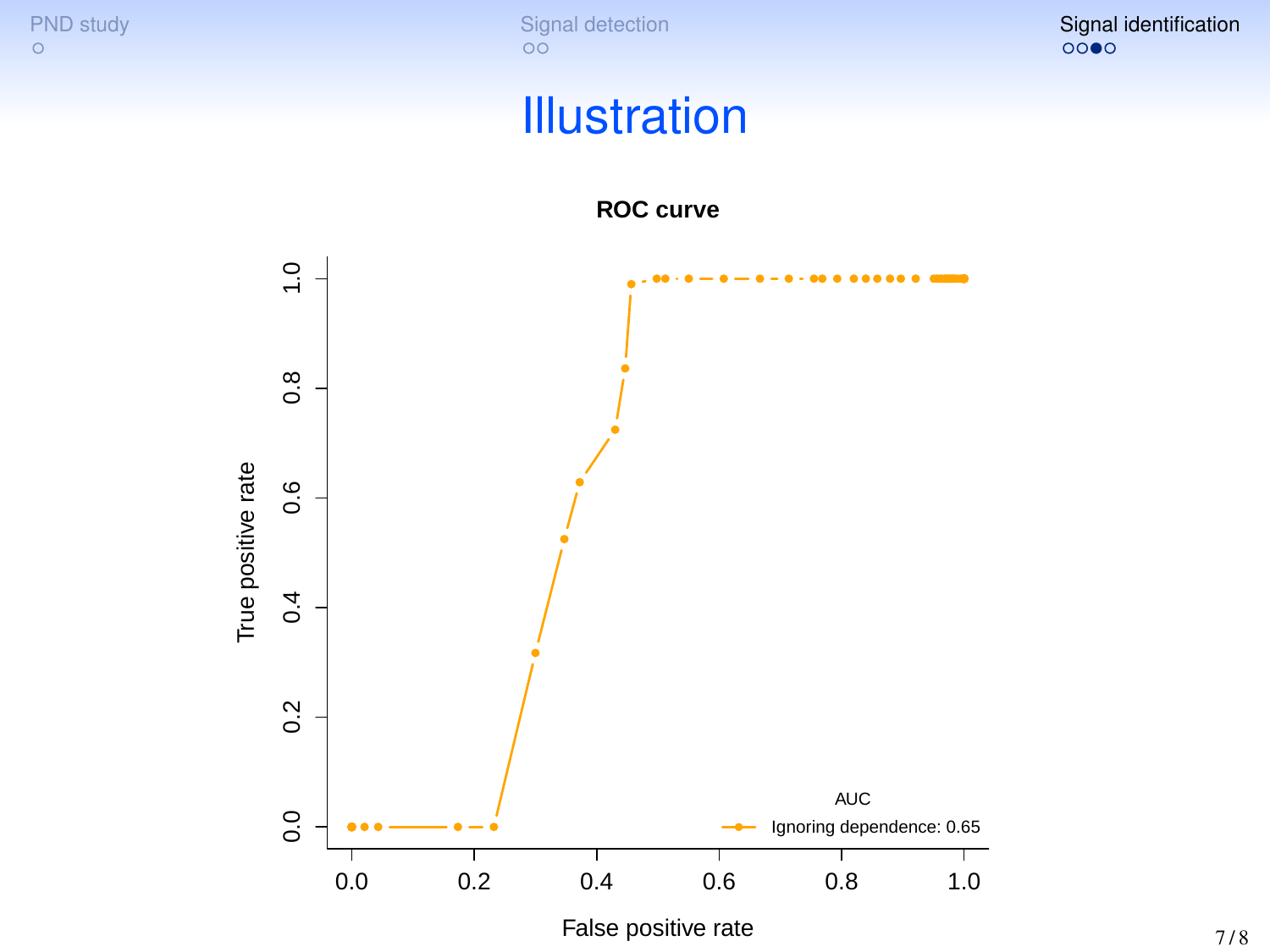[PND study](#page-1-0)<br> [Signal identification](#page-13-0)<br>  $\circ$ 

### **Illustration**



False positive rate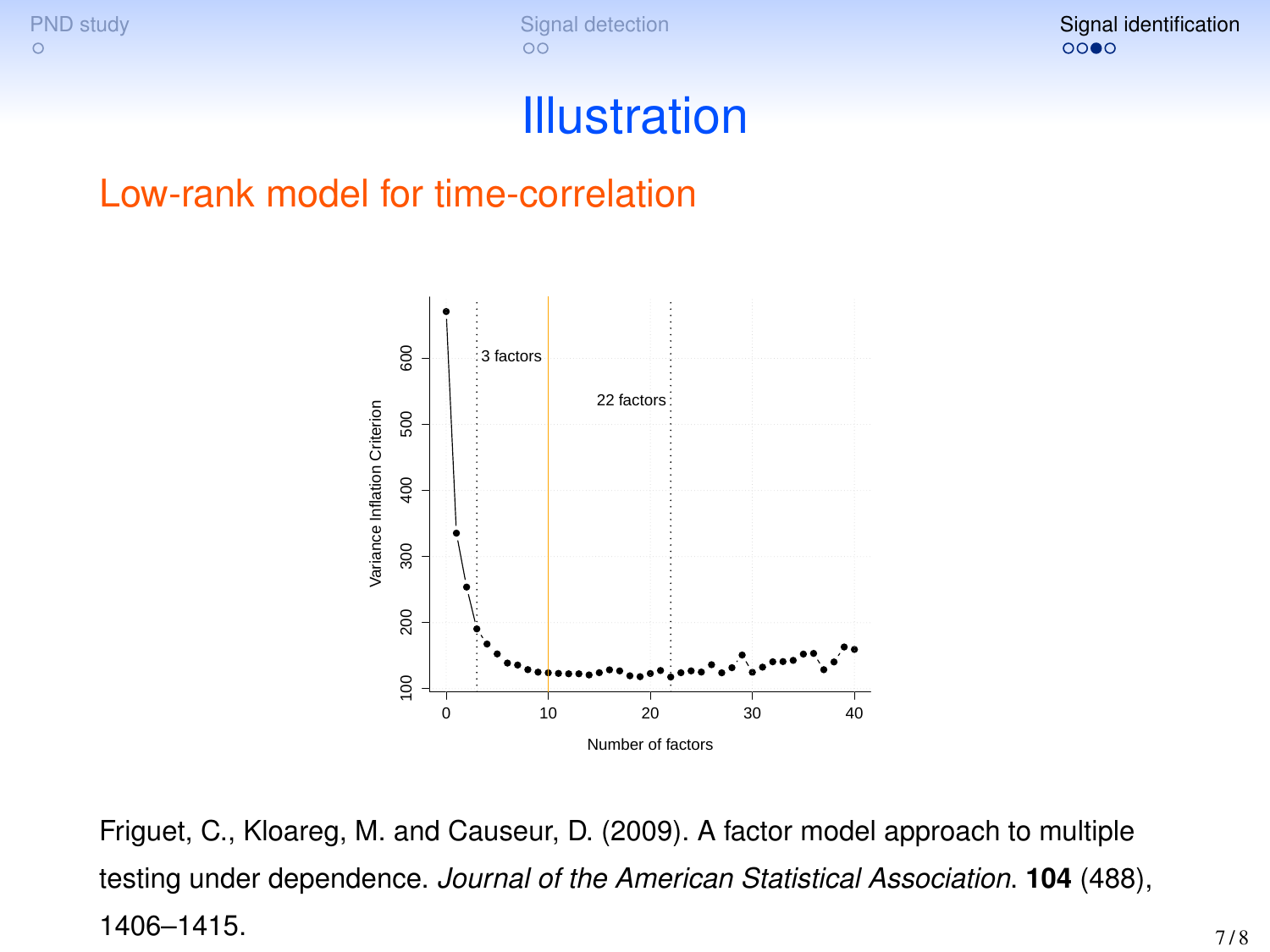[PND study](#page-1-0) [Signal detection](#page-7-0) Signal detection [Signal identification](#page-13-0) Signal identification Signal identification

### **Illustration**

#### Low-rank model for time-correlation



Friguet, C., Kloareg, M. and Causeur, D. (2009). A factor model approach to multiple testing under dependence. *Journal of the American Statistical Association*. **104** (488), **1406–1415.** 7/8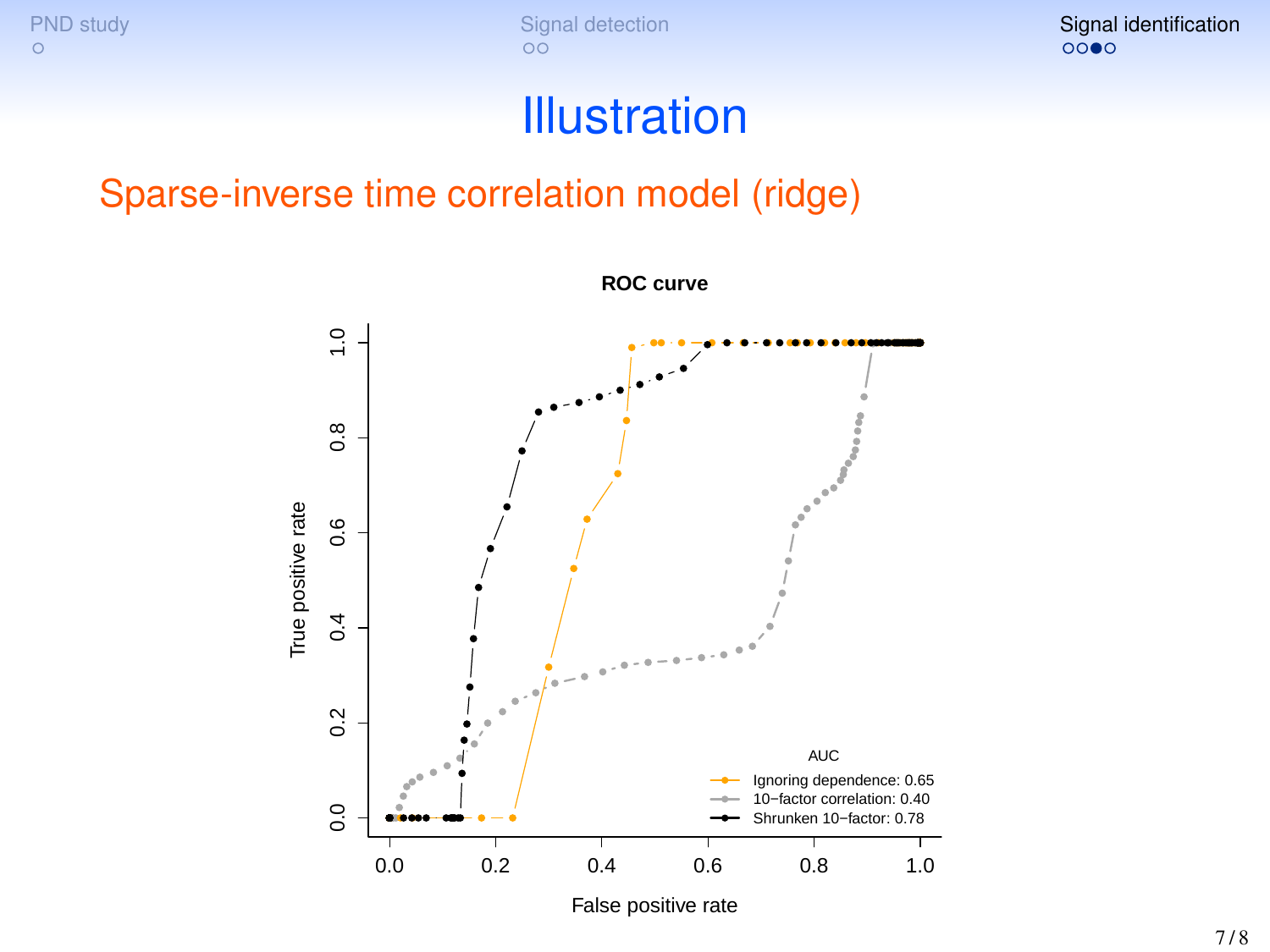[PND study](#page-1-0)<br> [Signal identification](#page-13-0)<br>  $\circ$ 

## **Illustration**

#### Sparse-inverse time correlation model (ridge)

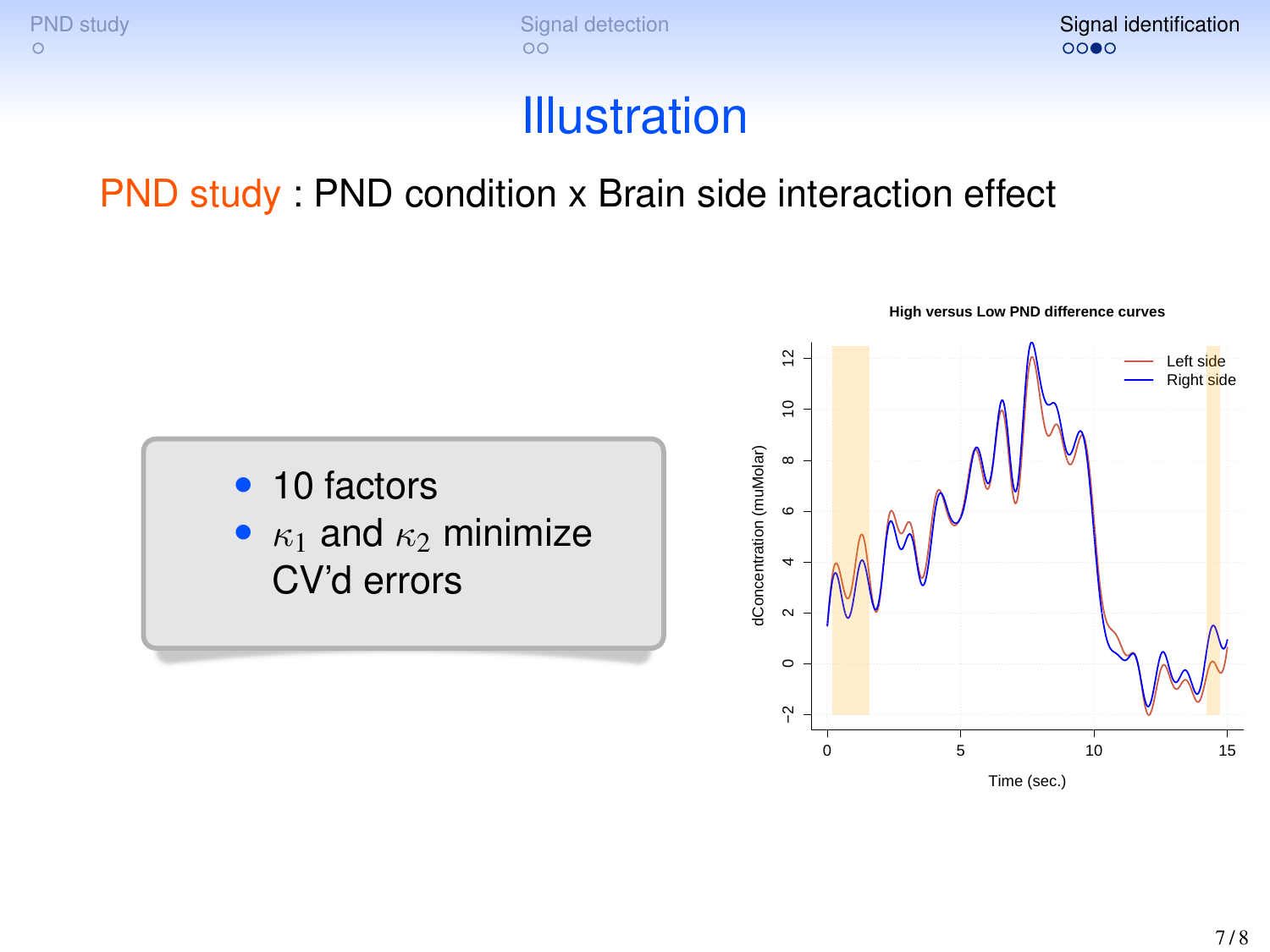[PND study](#page-1-0) [Signal detection](#page-7-0) Signal detection [Signal identification](#page-13-0) Signal identification Signal identification

## **Illustration**

### PND study : PND condition x Brain side interaction effect